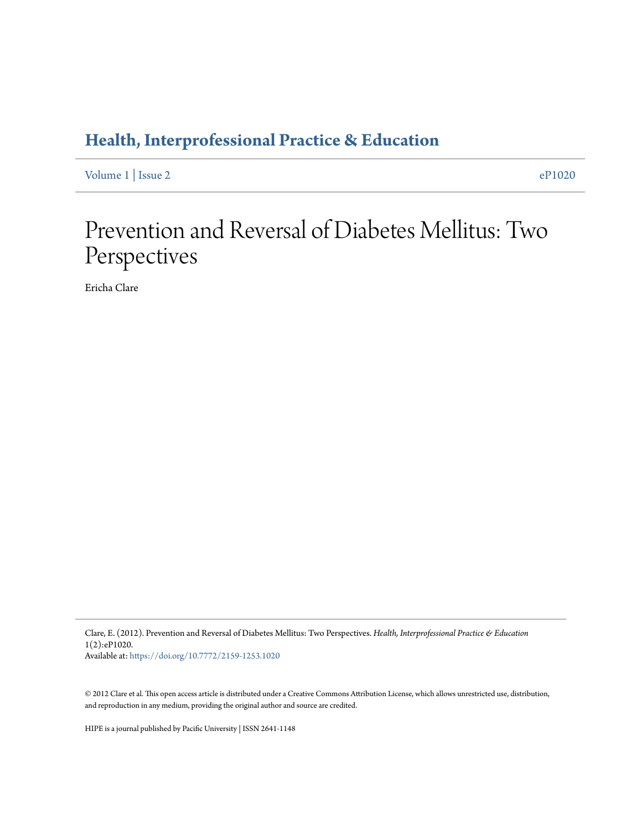## **[Health, Interprofessional Practice & Education](https://commons.pacificu.edu/hip)**

[Volume 1](https://commons.pacificu.edu/hip/vol1) | [Issue 2](https://commons.pacificu.edu/hip/vol1/iss2) [eP1020](https://commons.pacificu.edu/hip/vol1/iss2/2)

## Prevention and Reversal of Diabetes Mellitus: Two Perspectives

Ericha Clare

Clare, E. (2012). Prevention and Reversal of Diabetes Mellitus: Two Perspectives. *Health, Interprofessional Practice & Education* 1(2):eP1020. Available at: <https://doi.org/10.7772/2159-1253.1020>

© 2012 Clare et al. This open access article is distributed under a Creative Commons Attribution License, which allows unrestricted use, distribution, and reproduction in any medium, providing the original author and source are credited.

HIPE is a journal published by Pacific University | ISSN 2641-1148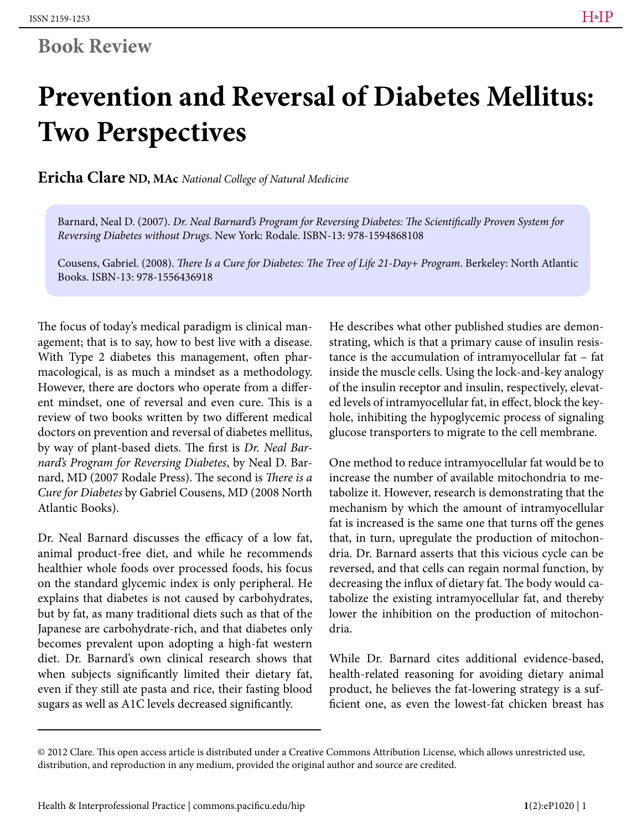## **Book Review**

# **Prevention and Reversal of Diabetes Mellitus: Two Perspectives**

**Ericha Clare ND, MAc** *National College of Natural Medicine*

Barnard, Neal D. (2007). *Dr. Neal Barnard's Program for Reversing Diabetes: The Scientifically Proven System for Reversing Diabetes without Drugs*. New York: Rodale. ISBN-13: 978-1594868108

Cousens, Gabriel. (2008). *There Is a Cure for Diabetes: The Tree of Life 21-Day+ Program*. Berkeley: North Atlantic Books. ISBN-13: 978-1556436918

The focus of today's medical paradigm is clinical management; that is to say, how to best live with a disease. With Type 2 diabetes this management, often pharmacological, is as much a mindset as a methodology. However, there are doctors who operate from a different mindset, one of reversal and even cure. This is a review of two books written by two different medical doctors on prevention and reversal of diabetes mellitus, by way of plant-based diets. The first is *Dr. Neal Barnard's Program for Reversing Diabetes*, by Neal D. Barnard, MD (2007 Rodale Press). The second is *There is a Cure for Diabetes* by Gabriel Cousens, MD (2008 North Atlantic Books).

Dr. Neal Barnard discusses the efficacy of a low fat, animal product-free diet, and while he recommends healthier whole foods over processed foods, his focus on the standard glycemic index is only peripheral. He explains that diabetes is not caused by carbohydrates, but by fat, as many traditional diets such as that of the Japanese are carbohydrate-rich, and that diabetes only becomes prevalent upon adopting a high-fat western diet. Dr. Barnard's own clinical research shows that when subjects significantly limited their dietary fat, even if they still ate pasta and rice, their fasting blood sugars as well as A1C levels decreased significantly.

He describes what other published studies are demonstrating, which is that a primary cause of insulin resistance is the accumulation of intramyocellular fat – fat inside the muscle cells. Using the lock-and-key analogy of the insulin receptor and insulin, respectively, elevated levels of intramyocellular fat, in effect, block the keyhole, inhibiting the hypoglycemic process of signaling glucose transporters to migrate to the cell membrane.

One method to reduce intramyocellular fat would be to increase the number of available mitochondria to metabolize it. However, research is demonstrating that the mechanism by which the amount of intramyocellular fat is increased is the same one that turns off the genes that, in turn, upregulate the production of mitochondria. Dr. Barnard asserts that this vicious cycle can be reversed, and that cells can regain normal function, by decreasing the influx of dietary fat. The body would catabolize the existing intramyocellular fat, and thereby lower the inhibition on the production of mitochondria.

While Dr. Barnard cites additional evidence-based, health-related reasoning for avoiding dietary animal product, he believes the fat-lowering strategy is a sufficient one, as even the lowest-fat chicken breast has

<sup>© 2012</sup> Clare. This open access article is distributed under a Creative Commons Attribution License, which allows unrestricted use, distribution, and reproduction in any medium, provided the original author and source are credited.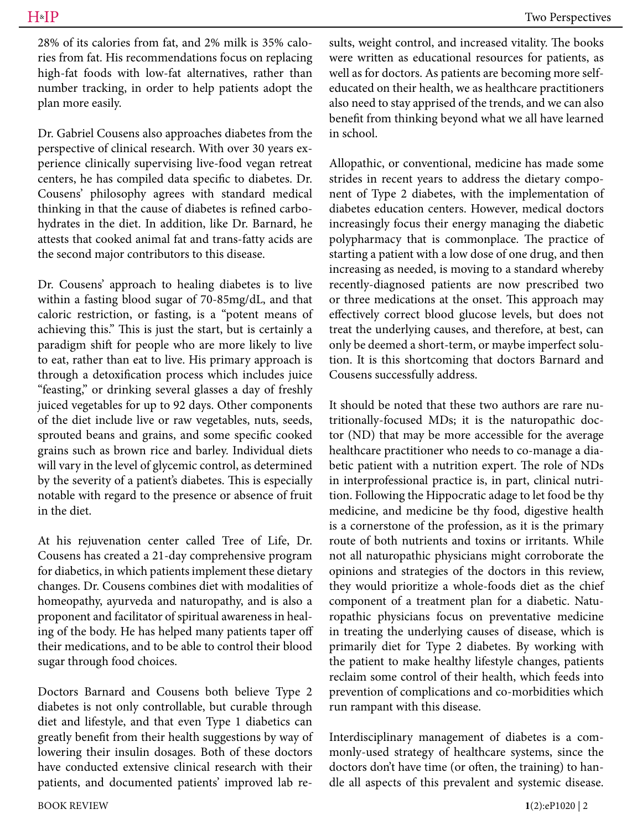Dr. Gabriel Cousens also approaches diabetes from the perspective of clinical research. With over 30 years experience clinically supervising live-food vegan retreat centers, he has compiled data specific to diabetes. Dr. Cousens' philosophy agrees with standard medical thinking in that the cause of diabetes is refined carbohydrates in the diet. In addition, like Dr. Barnard, he attests that cooked animal fat and trans-fatty acids are the second major contributors to this disease.

Dr. Cousens' approach to healing diabetes is to live within a fasting blood sugar of 70-85mg/dL, and that caloric restriction, or fasting, is a "potent means of achieving this." This is just the start, but is certainly a paradigm shift for people who are more likely to live to eat, rather than eat to live. His primary approach is through a detoxification process which includes juice "feasting," or drinking several glasses a day of freshly juiced vegetables for up to 92 days. Other components of the diet include live or raw vegetables, nuts, seeds, sprouted beans and grains, and some specific cooked grains such as brown rice and barley. Individual diets will vary in the level of glycemic control, as determined by the severity of a patient's diabetes. This is especially notable with regard to the presence or absence of fruit in the diet.

At his rejuvenation center called Tree of Life, Dr. Cousens has created a 21-day comprehensive program for diabetics, in which patients implement these dietary changes. Dr. Cousens combines diet with modalities of homeopathy, ayurveda and naturopathy, and is also a proponent and facilitator of spiritual awareness in healing of the body. He has helped many patients taper off their medications, and to be able to control their blood sugar through food choices.

Doctors Barnard and Cousens both believe Type 2 diabetes is not only controllable, but curable through diet and lifestyle, and that even Type 1 diabetics can greatly benefit from their health suggestions by way of lowering their insulin dosages. Both of these doctors have conducted extensive clinical research with their patients, and documented patients' improved lab results, weight control, and increased vitality. The books were written as educational resources for patients, as well as for doctors. As patients are becoming more selfeducated on their health, we as healthcare practitioners also need to stay apprised of the trends, and we can also benefit from thinking beyond what we all have learned in school.

Allopathic, or conventional, medicine has made some strides in recent years to address the dietary component of Type 2 diabetes, with the implementation of diabetes education centers. However, medical doctors increasingly focus their energy managing the diabetic polypharmacy that is commonplace. The practice of starting a patient with a low dose of one drug, and then increasing as needed, is moving to a standard whereby recently-diagnosed patients are now prescribed two or three medications at the onset. This approach may effectively correct blood glucose levels, but does not treat the underlying causes, and therefore, at best, can only be deemed a short-term, or maybe imperfect solution. It is this shortcoming that doctors Barnard and Cousens successfully address.

It should be noted that these two authors are rare nutritionally-focused MDs; it is the naturopathic doctor (ND) that may be more accessible for the average healthcare practitioner who needs to co-manage a diabetic patient with a nutrition expert. The role of NDs in interprofessional practice is, in part, clinical nutrition. Following the Hippocratic adage to let food be thy medicine, and medicine be thy food, digestive health is a cornerstone of the profession, as it is the primary route of both nutrients and toxins or irritants. While not all naturopathic physicians might corroborate the opinions and strategies of the doctors in this review, they would prioritize a whole-foods diet as the chief component of a treatment plan for a diabetic. Naturopathic physicians focus on preventative medicine in treating the underlying causes of disease, which is primarily diet for Type 2 diabetes. By working with the patient to make healthy lifestyle changes, patients reclaim some control of their health, which feeds into prevention of complications and co-morbidities which run rampant with this disease.

Interdisciplinary management of diabetes is a commonly-used strategy of healthcare systems, since the doctors don't have time (or often, the training) to handle all aspects of this prevalent and systemic disease.